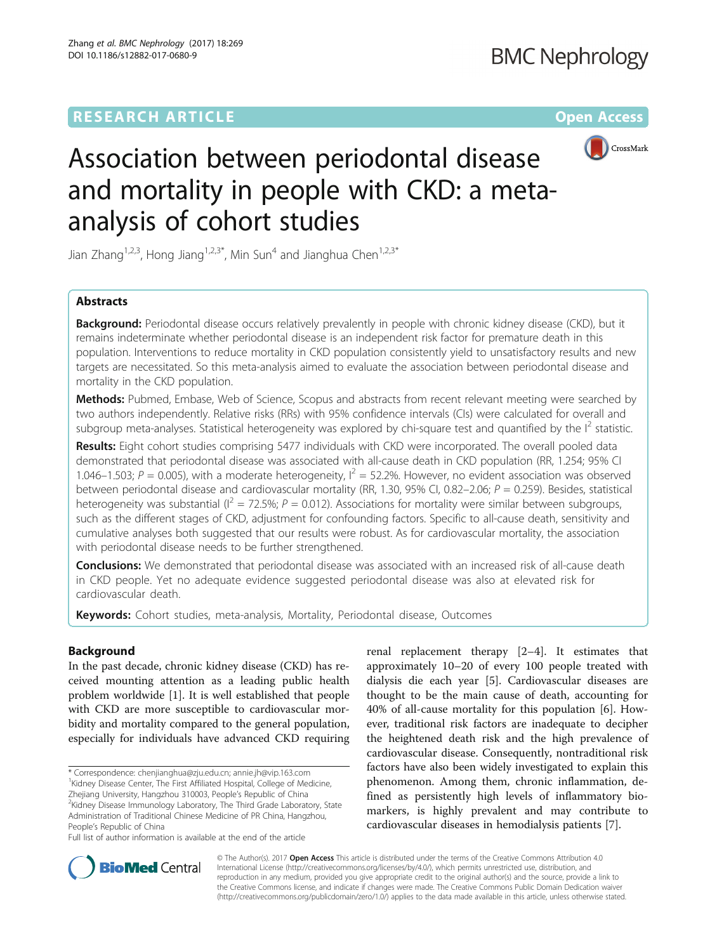# **RESEARCH ARTICLE External Structure Community Community Community Community Community Community Community Community**



# Association between periodontal disease and mortality in people with CKD: a metaanalysis of cohort studies

Jian Zhang<sup>1,2,3</sup>, Hong Jiang<sup>1,2,3\*</sup>, Min Sun<sup>4</sup> and Jianghua Chen<sup>1,2,3\*</sup>

## **Abstracts**

**Background:** Periodontal disease occurs relatively prevalently in people with chronic kidney disease (CKD), but it remains indeterminate whether periodontal disease is an independent risk factor for premature death in this population. Interventions to reduce mortality in CKD population consistently yield to unsatisfactory results and new targets are necessitated. So this meta-analysis aimed to evaluate the association between periodontal disease and mortality in the CKD population.

Methods: Pubmed, Embase, Web of Science, Scopus and abstracts from recent relevant meeting were searched by two authors independently. Relative risks (RRs) with 95% confidence intervals (CIs) were calculated for overall and subgroup meta-analyses. Statistical heterogeneity was explored by chi-square test and quantified by the  $I^2$  statistic.

Results: Eight cohort studies comprising 5477 individuals with CKD were incorporated. The overall pooled data demonstrated that periodontal disease was associated with all-cause death in CKD population (RR, 1.254; 95% CI 1.046–1.503; P = 0.005), with a moderate heterogeneity,  $I^2 = 52.2\%$ . However, no evident association was observed between periodontal disease and cardiovascular mortality (RR, 1.30, 95% CI, 0.82–2.06;  $P = 0.259$ ). Besides, statistical heterogeneity was substantial ( $I^2 = 72.5\%$ ;  $P = 0.012$ ). Associations for mortality were similar between subgroups, such as the different stages of CKD, adjustment for confounding factors. Specific to all-cause death, sensitivity and cumulative analyses both suggested that our results were robust. As for cardiovascular mortality, the association with periodontal disease needs to be further strengthened.

Conclusions: We demonstrated that periodontal disease was associated with an increased risk of all-cause death in CKD people. Yet no adequate evidence suggested periodontal disease was also at elevated risk for cardiovascular death.

Keywords: Cohort studies, meta-analysis, Mortality, Periodontal disease, Outcomes

## Background

In the past decade, chronic kidney disease (CKD) has received mounting attention as a leading public health problem worldwide [\[1](#page-9-0)]. It is well established that people with CKD are more susceptible to cardiovascular morbidity and mortality compared to the general population, especially for individuals have advanced CKD requiring

Zhejiang University, Hangzhou 310003, People's Republic of China <sup>2</sup> <sup>2</sup>Kidney Disease Immunology Laboratory, The Third Grade Laboratory, State Administration of Traditional Chinese Medicine of PR China, Hangzhou, People's Republic of China

renal replacement therapy [\[2](#page-9-0)–[4\]](#page-9-0). It estimates that approximately 10–20 of every 100 people treated with dialysis die each year [\[5](#page-9-0)]. Cardiovascular diseases are thought to be the main cause of death, accounting for 40% of all-cause mortality for this population [[6](#page-9-0)]. However, traditional risk factors are inadequate to decipher the heightened death risk and the high prevalence of cardiovascular disease. Consequently, nontraditional risk factors have also been widely investigated to explain this phenomenon. Among them, chronic inflammation, defined as persistently high levels of inflammatory biomarkers, is highly prevalent and may contribute to cardiovascular diseases in hemodialysis patients [[7\]](#page-9-0).



© The Author(s). 2017 **Open Access** This article is distributed under the terms of the Creative Commons Attribution 4.0 International License [\(http://creativecommons.org/licenses/by/4.0/](http://creativecommons.org/licenses/by/4.0/)), which permits unrestricted use, distribution, and reproduction in any medium, provided you give appropriate credit to the original author(s) and the source, provide a link to the Creative Commons license, and indicate if changes were made. The Creative Commons Public Domain Dedication waiver [\(http://creativecommons.org/publicdomain/zero/1.0/](http://creativecommons.org/publicdomain/zero/1.0/)) applies to the data made available in this article, unless otherwise stated.

<sup>\*</sup> Correspondence: [chenjianghua@zju.edu.cn](mailto:chenjianghua@zju.edu.cn); [annie.jh@vip.163.com](mailto:annie.jh@vip.163.com) <sup>1</sup> <sup>1</sup> Kidney Disease Center, The First Affiliated Hospital, College of Medicine,

Full list of author information is available at the end of the article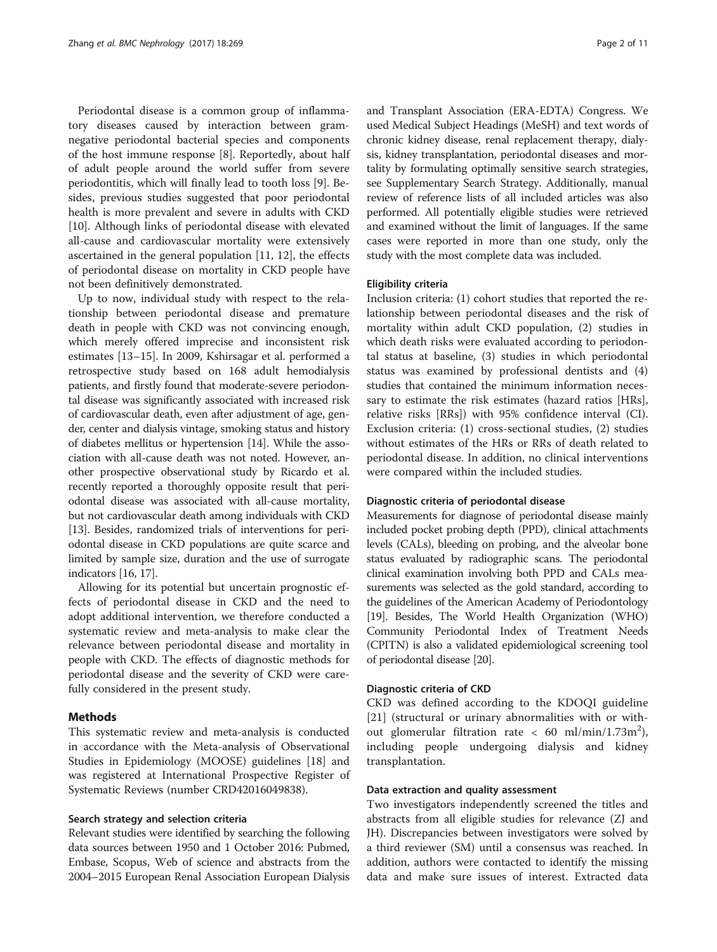Periodontal disease is a common group of inflammatory diseases caused by interaction between gramnegative periodontal bacterial species and components of the host immune response [\[8](#page-9-0)]. Reportedly, about half of adult people around the world suffer from severe periodontitis, which will finally lead to tooth loss [[9](#page-9-0)]. Besides, previous studies suggested that poor periodontal health is more prevalent and severe in adults with CKD [[10\]](#page-9-0). Although links of periodontal disease with elevated all-cause and cardiovascular mortality were extensively ascertained in the general population [\[11](#page-9-0), [12](#page-9-0)], the effects of periodontal disease on mortality in CKD people have not been definitively demonstrated.

Up to now, individual study with respect to the relationship between periodontal disease and premature death in people with CKD was not convincing enough, which merely offered imprecise and inconsistent risk estimates [[13](#page-9-0)–[15](#page-9-0)]. In 2009, Kshirsagar et al. performed a retrospective study based on 168 adult hemodialysis patients, and firstly found that moderate-severe periodontal disease was significantly associated with increased risk of cardiovascular death, even after adjustment of age, gender, center and dialysis vintage, smoking status and history of diabetes mellitus or hypertension [[14](#page-9-0)]. While the association with all-cause death was not noted. However, another prospective observational study by Ricardo et al. recently reported a thoroughly opposite result that periodontal disease was associated with all-cause mortality, but not cardiovascular death among individuals with CKD [[13](#page-9-0)]. Besides, randomized trials of interventions for periodontal disease in CKD populations are quite scarce and limited by sample size, duration and the use of surrogate indicators [[16](#page-9-0), [17\]](#page-9-0).

Allowing for its potential but uncertain prognostic effects of periodontal disease in CKD and the need to adopt additional intervention, we therefore conducted a systematic review and meta-analysis to make clear the relevance between periodontal disease and mortality in people with CKD. The effects of diagnostic methods for periodontal disease and the severity of CKD were carefully considered in the present study.

## Methods

This systematic review and meta-analysis is conducted in accordance with the Meta-analysis of Observational Studies in Epidemiology (MOOSE) guidelines [[18\]](#page-9-0) and was registered at International Prospective Register of Systematic Reviews (number CRD42016049838).

## Search strategy and selection criteria

Relevant studies were identified by searching the following data sources between 1950 and 1 October 2016: Pubmed, Embase, Scopus, Web of science and abstracts from the 2004–2015 European Renal Association European Dialysis and Transplant Association (ERA-EDTA) Congress. We used Medical Subject Headings (MeSH) and text words of chronic kidney disease, renal replacement therapy, dialysis, kidney transplantation, periodontal diseases and mortality by formulating optimally sensitive search strategies, see Supplementary Search Strategy. Additionally, manual review of reference lists of all included articles was also performed. All potentially eligible studies were retrieved and examined without the limit of languages. If the same cases were reported in more than one study, only the study with the most complete data was included.

## Eligibility criteria

Inclusion criteria: (1) cohort studies that reported the relationship between periodontal diseases and the risk of mortality within adult CKD population, (2) studies in which death risks were evaluated according to periodontal status at baseline, (3) studies in which periodontal status was examined by professional dentists and (4) studies that contained the minimum information necessary to estimate the risk estimates (hazard ratios [HRs], relative risks [RRs]) with 95% confidence interval (CI). Exclusion criteria: (1) cross-sectional studies, (2) studies without estimates of the HRs or RRs of death related to periodontal disease. In addition, no clinical interventions were compared within the included studies.

#### Diagnostic criteria of periodontal disease

Measurements for diagnose of periodontal disease mainly included pocket probing depth (PPD), clinical attachments levels (CALs), bleeding on probing, and the alveolar bone status evaluated by radiographic scans. The periodontal clinical examination involving both PPD and CALs measurements was selected as the gold standard, according to the guidelines of the American Academy of Periodontology [[19](#page-9-0)]. Besides, The World Health Organization (WHO) Community Periodontal Index of Treatment Needs (CPITN) is also a validated epidemiological screening tool of periodontal disease [\[20\]](#page-9-0).

## Diagnostic criteria of CKD

CKD was defined according to the KDOQI guideline [[21](#page-9-0)] (structural or urinary abnormalities with or without glomerular filtration rate < 60 ml/min/1.73m<sup>2</sup>), including people undergoing dialysis and kidney transplantation.

#### Data extraction and quality assessment

Two investigators independently screened the titles and abstracts from all eligible studies for relevance (ZJ and JH). Discrepancies between investigators were solved by a third reviewer (SM) until a consensus was reached. In addition, authors were contacted to identify the missing data and make sure issues of interest. Extracted data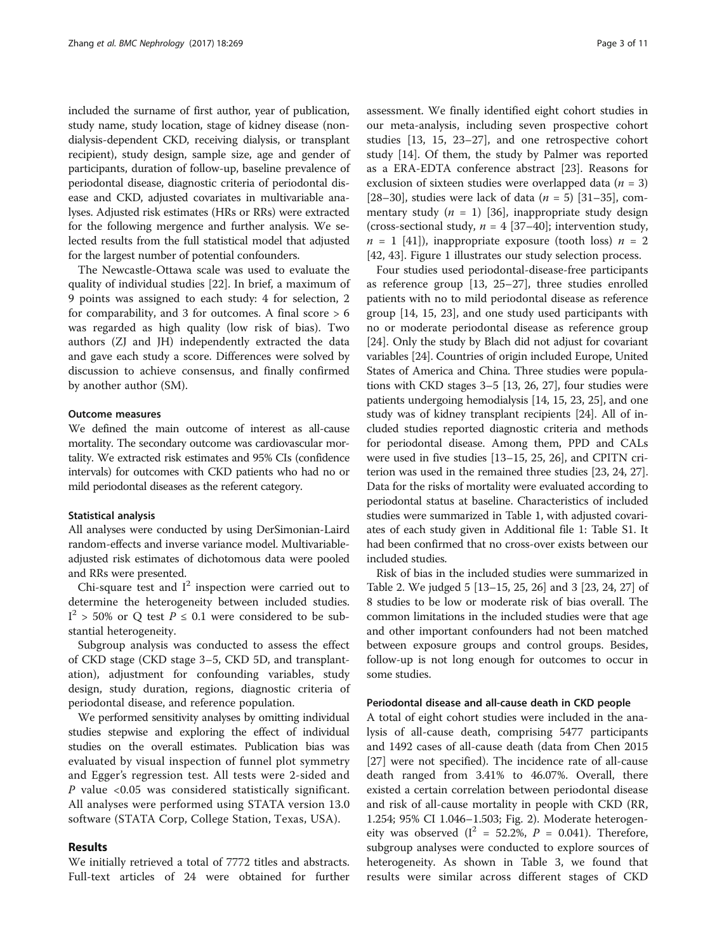included the surname of first author, year of publication, study name, study location, stage of kidney disease (nondialysis-dependent CKD, receiving dialysis, or transplant recipient), study design, sample size, age and gender of participants, duration of follow-up, baseline prevalence of periodontal disease, diagnostic criteria of periodontal disease and CKD, adjusted covariates in multivariable analyses. Adjusted risk estimates (HRs or RRs) were extracted for the following mergence and further analysis. We selected results from the full statistical model that adjusted for the largest number of potential confounders.

The Newcastle-Ottawa scale was used to evaluate the quality of individual studies [\[22](#page-9-0)]. In brief, a maximum of 9 points was assigned to each study: 4 for selection, 2 for comparability, and 3 for outcomes. A final score  $> 6$ was regarded as high quality (low risk of bias). Two authors (ZJ and JH) independently extracted the data and gave each study a score. Differences were solved by discussion to achieve consensus, and finally confirmed by another author (SM).

#### Outcome measures

We defined the main outcome of interest as all-cause mortality. The secondary outcome was cardiovascular mortality. We extracted risk estimates and 95% CIs (confidence intervals) for outcomes with CKD patients who had no or mild periodontal diseases as the referent category.

#### Statistical analysis

All analyses were conducted by using DerSimonian-Laird random-effects and inverse variance model. Multivariableadjusted risk estimates of dichotomous data were pooled and RRs were presented.

Chi-square test and  $I^2$  inspection were carried out to determine the heterogeneity between included studies.  $I^2 > 50\%$  or Q test  $P \le 0.1$  were considered to be substantial heterogeneity.

Subgroup analysis was conducted to assess the effect of CKD stage (CKD stage 3–5, CKD 5D, and transplantation), adjustment for confounding variables, study design, study duration, regions, diagnostic criteria of periodontal disease, and reference population.

We performed sensitivity analyses by omitting individual studies stepwise and exploring the effect of individual studies on the overall estimates. Publication bias was evaluated by visual inspection of funnel plot symmetry and Egger's regression test. All tests were 2-sided and P value <0.05 was considered statistically significant. All analyses were performed using STATA version 13.0 software (STATA Corp, College Station, Texas, USA).

## Results

We initially retrieved a total of 7772 titles and abstracts. Full-text articles of 24 were obtained for further

assessment. We finally identified eight cohort studies in our meta-analysis, including seven prospective cohort studies [[13](#page-9-0), [15, 23](#page-9-0)–[27](#page-9-0)], and one retrospective cohort study [[14\]](#page-9-0). Of them, the study by Palmer was reported as a ERA-EDTA conference abstract [\[23\]](#page-9-0). Reasons for exclusion of sixteen studies were overlapped data ( $n = 3$ ) [[28](#page-9-0)–[30](#page-9-0)], studies were lack of data ( $n = 5$ ) [\[31](#page-9-0)–[35\]](#page-10-0), commentary study ( $n = 1$ ) [\[36](#page-10-0)], inappropriate study design (cross-sectional study,  $n = 4$  [\[37](#page-10-0)-[40\]](#page-10-0); intervention study,  $n = 1$  [\[41](#page-10-0)]), inappropriate exposure (tooth loss)  $n = 2$ [[42, 43\]](#page-10-0). Figure [1](#page-3-0) illustrates our study selection process.

Four studies used periodontal-disease-free participants as reference group [[13, 25](#page-9-0)–[27\]](#page-9-0), three studies enrolled patients with no to mild periodontal disease as reference group [\[14](#page-9-0), [15, 23](#page-9-0)], and one study used participants with no or moderate periodontal disease as reference group [[24\]](#page-9-0). Only the study by Blach did not adjust for covariant variables [\[24\]](#page-9-0). Countries of origin included Europe, United States of America and China. Three studies were populations with CKD stages 3–5 [[13](#page-9-0), [26](#page-9-0), [27](#page-9-0)], four studies were patients undergoing hemodialysis [[14](#page-9-0), [15, 23, 25](#page-9-0)], and one study was of kidney transplant recipients [\[24\]](#page-9-0). All of included studies reported diagnostic criteria and methods for periodontal disease. Among them, PPD and CALs were used in five studies [[13](#page-9-0)–[15, 25, 26\]](#page-9-0), and CPITN criterion was used in the remained three studies [\[23](#page-9-0), [24, 27](#page-9-0)]. Data for the risks of mortality were evaluated according to periodontal status at baseline. Characteristics of included studies were summarized in Table [1](#page-4-0), with adjusted covariates of each study given in Additional file [1](#page-8-0): Table S1. It had been confirmed that no cross-over exists between our included studies.

Risk of bias in the included studies were summarized in Table [2](#page-5-0). We judged 5 [[13](#page-9-0)–[15, 25, 26](#page-9-0)] and 3 [[23](#page-9-0), [24](#page-9-0), [27\]](#page-9-0) of 8 studies to be low or moderate risk of bias overall. The common limitations in the included studies were that age and other important confounders had not been matched between exposure groups and control groups. Besides, follow-up is not long enough for outcomes to occur in some studies.

#### Periodontal disease and all-cause death in CKD people

A total of eight cohort studies were included in the analysis of all-cause death, comprising 5477 participants and 1492 cases of all-cause death (data from Chen 2015 [[27\]](#page-9-0) were not specified). The incidence rate of all-cause death ranged from 3.41% to 46.07%. Overall, there existed a certain correlation between periodontal disease and risk of all-cause mortality in people with CKD (RR, 1.254; 95% CI 1.046–1.503; Fig. [2\)](#page-5-0). Moderate heterogeneity was observed ( $I^2 = 52.2\%$ ,  $P = 0.041$ ). Therefore, subgroup analyses were conducted to explore sources of heterogeneity. As shown in Table [3](#page-6-0), we found that results were similar across different stages of CKD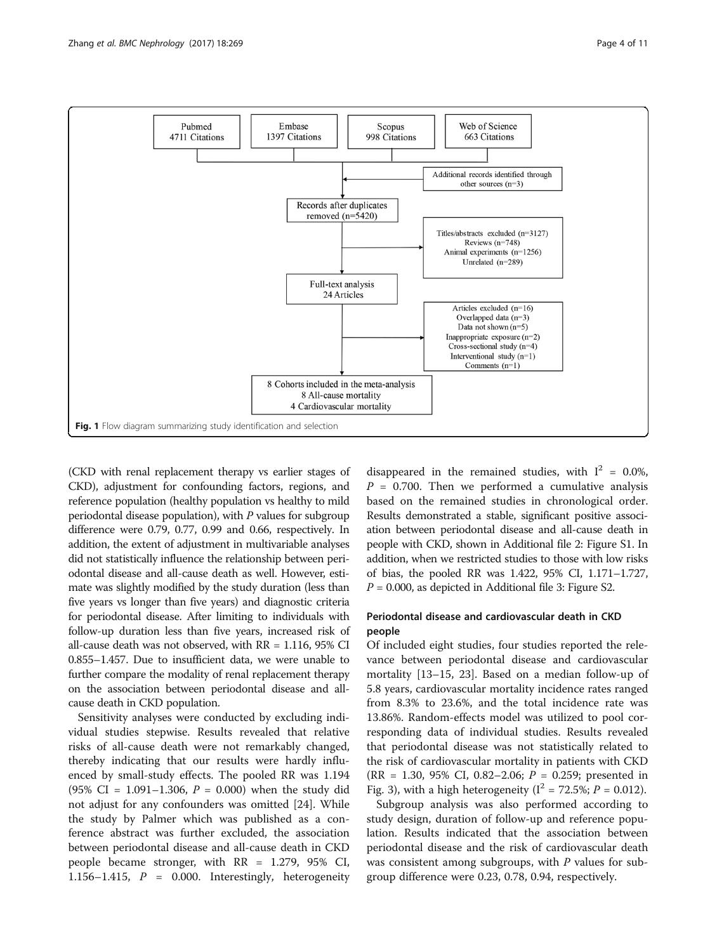<span id="page-3-0"></span>

(CKD with renal replacement therapy vs earlier stages of CKD), adjustment for confounding factors, regions, and reference population (healthy population vs healthy to mild periodontal disease population), with P values for subgroup difference were 0.79, 0.77, 0.99 and 0.66, respectively. In addition, the extent of adjustment in multivariable analyses did not statistically influence the relationship between periodontal disease and all-cause death as well. However, estimate was slightly modified by the study duration (less than five years vs longer than five years) and diagnostic criteria for periodontal disease. After limiting to individuals with follow-up duration less than five years, increased risk of all-cause death was not observed, with RR = 1.116, 95% CI 0.855–1.457. Due to insufficient data, we were unable to further compare the modality of renal replacement therapy on the association between periodontal disease and allcause death in CKD population.

Sensitivity analyses were conducted by excluding individual studies stepwise. Results revealed that relative risks of all-cause death were not remarkably changed, thereby indicating that our results were hardly influenced by small-study effects. The pooled RR was 1.194 (95% CI = 1.091-1.306,  $P = 0.000$ ) when the study did not adjust for any confounders was omitted [[24\]](#page-9-0). While the study by Palmer which was published as a conference abstract was further excluded, the association between periodontal disease and all-cause death in CKD people became stronger, with RR = 1.279, 95% CI, 1.156–1.415,  $P = 0.000$ . Interestingly, heterogeneity

disappeared in the remained studies, with  $I^2 = 0.0\%$ ,  $P = 0.700$ . Then we performed a cumulative analysis based on the remained studies in chronological order. Results demonstrated a stable, significant positive association between periodontal disease and all-cause death in people with CKD, shown in Additional file [2](#page-8-0): Figure S1. In addition, when we restricted studies to those with low risks of bias, the pooled RR was 1.422, 95% CI, 1.171–1.727,  $P = 0.000$ , as depicted in Additional file [3](#page-8-0): Figure S2.

## Periodontal disease and cardiovascular death in CKD people

Of included eight studies, four studies reported the relevance between periodontal disease and cardiovascular mortality [\[13](#page-9-0)–[15](#page-9-0), [23](#page-9-0)]. Based on a median follow-up of 5.8 years, cardiovascular mortality incidence rates ranged from 8.3% to 23.6%, and the total incidence rate was 13.86%. Random-effects model was utilized to pool corresponding data of individual studies. Results revealed that periodontal disease was not statistically related to the risk of cardiovascular mortality in patients with CKD  $(RR = 1.30, 95\% \text{ CI}, 0.82-2.06; P = 0.259;$  presented in Fig. [3](#page-7-0)), with a high heterogeneity ( $I^2 = 72.5\%$ ;  $P = 0.012$ ).

Subgroup analysis was also performed according to study design, duration of follow-up and reference population. Results indicated that the association between periodontal disease and the risk of cardiovascular death was consistent among subgroups, with  $P$  values for subgroup difference were 0.23, 0.78, 0.94, respectively.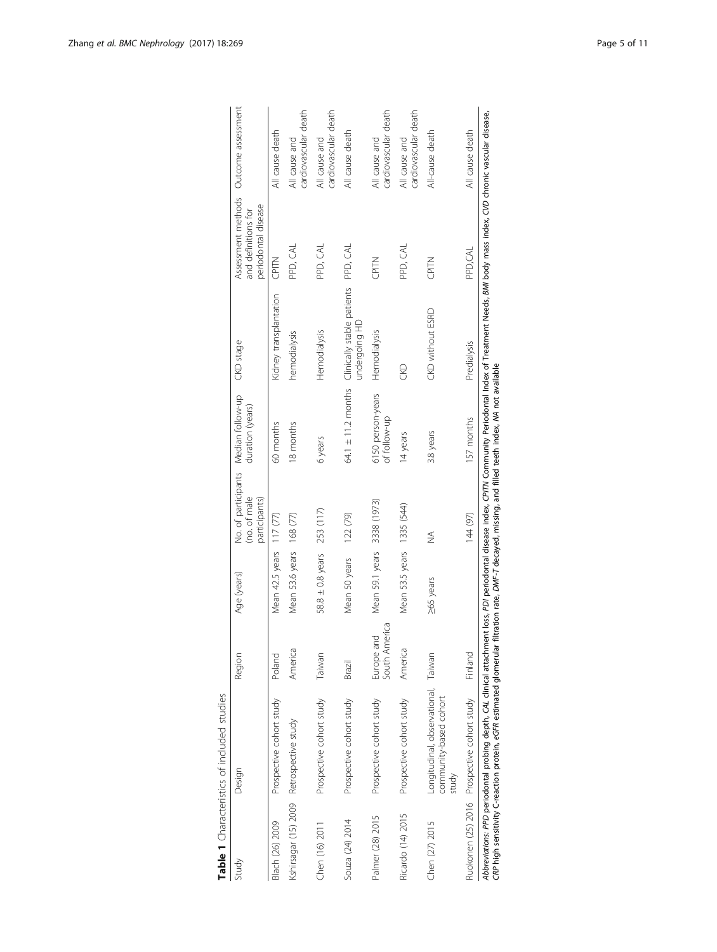<span id="page-4-0"></span>

|                      | Table 1 Characteristics of included studies                                                                                                                                                                                                                                                                                                                                 |                             |                             |                               |                                                          |                                                      |                                                                                      |                                       |
|----------------------|-----------------------------------------------------------------------------------------------------------------------------------------------------------------------------------------------------------------------------------------------------------------------------------------------------------------------------------------------------------------------------|-----------------------------|-----------------------------|-------------------------------|----------------------------------------------------------|------------------------------------------------------|--------------------------------------------------------------------------------------|---------------------------------------|
| Study                | Design                                                                                                                                                                                                                                                                                                                                                                      | Region                      | Age (years)                 | (no. of male<br>participants) | No. of participants Median follow-up<br>duration (years) | CKD stage                                            | Assessment methods  Outcome assessment<br>periodontal disease<br>and definitions for |                                       |
| Blach (26) 2009      | Prospective cohort study                                                                                                                                                                                                                                                                                                                                                    | Poland                      | Mean 42.5 years 117 (77)    |                               | 60 months                                                | Kidney transplantation                               | CPITN                                                                                | All cause death                       |
| Kshirsagar (15) 2009 | Retrospective study                                                                                                                                                                                                                                                                                                                                                         | America                     | Mean 53.6 years 168 (77)    |                               | 18 months                                                | hemodialysis                                         | PPD, CAL                                                                             | cardiovascular death<br>All cause and |
| Chen (16) 2011       | Prospective cohort study                                                                                                                                                                                                                                                                                                                                                    | Taiwan                      | 58.8 ± 0.8 years 253 (117)  |                               | 6 years                                                  | Hemodialysis                                         | PPD, CAL                                                                             | cardiovascular death<br>All cause and |
| Souza (24) 2014      | Prospective cohort study                                                                                                                                                                                                                                                                                                                                                    | Brazil                      | Mean 50 years               | 122 (79)                      | $64.1 \pm 11.2$ months                                   | Clinically stable patients PPD, CAL<br>undergoing HD |                                                                                      | All cause death                       |
| Palmer (28) 2015     | Prospective cohort study                                                                                                                                                                                                                                                                                                                                                    | South America<br>Europe and | Mean 59.1 years 3338 (1973) |                               | 6150 person-years<br>of follow-up                        | Hemodialysis                                         | CPITN                                                                                | cardiovascular death<br>All cause and |
| Ricardo (14) 2015    | Prospective cohort study                                                                                                                                                                                                                                                                                                                                                    | America                     | Mean 53.5 years 1335 (544)  |                               | 14 years                                                 | S                                                    | PPD, CAL                                                                             | cardiovascular death<br>All cause and |
| Chen (27) 2015       | Longitudinal, observational, Taiwan<br>community-based cohort<br>xtudy                                                                                                                                                                                                                                                                                                      |                             | 265 years                   | $\frac{1}{2}$                 | 3.8 years                                                | CKD without ESRD                                     | CPITN                                                                                | All-cause death                       |
|                      | Ruokonen (25) 2016 Prospective cohort study                                                                                                                                                                                                                                                                                                                                 | Finland                     |                             | 144 (97)                      | 157 months                                               | Predialysis                                          | PPD,CAL                                                                              | All cause death                       |
|                      | Abbreviations: PPD periodontal probing depth, CAL clinical attachment loss, PDI periodontal disease index, CPIN Community Periodontal Index of Treatment Needs, BMI body mass index, CI/D chronic vascular disease,<br>CRP high sensitivity C-reaction protein, eGFR estimated glomerular filtration rate, DMF-T decayed, missing, and filled teeth index, MA not available |                             |                             |                               |                                                          |                                                      |                                                                                      |                                       |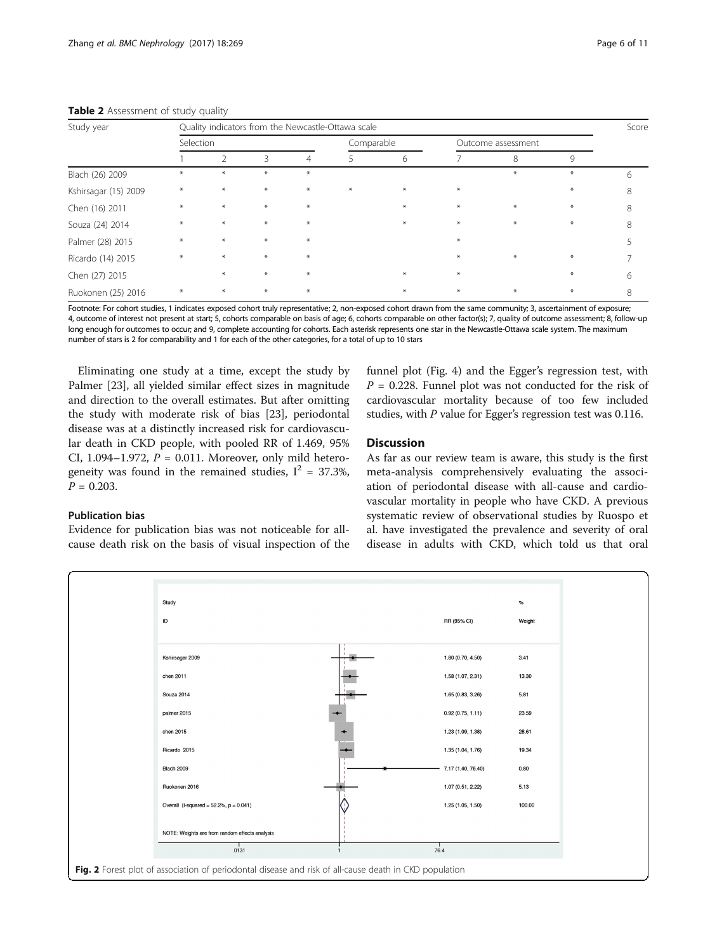| Study year           | Quality indicators from the Newcastle-Ottawa scale |        |        |     |            |        |                    |     |     |   |
|----------------------|----------------------------------------------------|--------|--------|-----|------------|--------|--------------------|-----|-----|---|
|                      | Selection                                          |        |        |     | Comparable |        | Outcome assessment |     |     |   |
|                      |                                                    | 2      | 3      |     |            | 6      |                    | 8   | 9   |   |
| Blach (26) 2009      | $*$                                                | ⋇      | $*$    | $*$ |            |        |                    | $*$ | ÷   | 6 |
| Kshirsagar (15) 2009 | $*$                                                | $*$    | $*$    | $*$ | $\ast$     | $\ast$ | $\ast$             |     | $*$ | 8 |
| Chen (16) 2011       | $\ast$                                             | $\ast$ | $*$    | $*$ |            | $\ast$ | $\ast$             | $*$ |     | 8 |
| Souza (24) 2014      | $*$                                                | $\ast$ | $\ast$ | $*$ |            | $\ast$ | $\ast$             | $*$ | $*$ | 8 |
| Palmer (28) 2015     | $*$                                                | $*$    | $*$    | $*$ |            |        | $*$                |     |     |   |
| Ricardo (14) 2015    | $\ast$                                             | $*$    | $*$    | $*$ |            |        | $\ast$             | $*$ | $*$ |   |
| Chen (27) 2015       |                                                    | $\ast$ | $*$    | $*$ |            | $\ast$ | $\ast$             |     | $*$ | 6 |
| Ruokonen (25) 2016   | $*$                                                | $*$    | $*$    | $*$ |            | $*$    | $\ast$             | $*$ | $*$ | 8 |

#### <span id="page-5-0"></span>Table 2 Assessment of study quality

Footnote: For cohort studies, 1 indicates exposed cohort truly representative; 2, non-exposed cohort drawn from the same community; 3, ascertainment of exposure; 4, outcome of interest not present at start; 5, cohorts comparable on basis of age; 6, cohorts comparable on other factor(s); 7, quality of outcome assessment; 8, follow-up long enough for outcomes to occur; and 9, complete accounting for cohorts. Each asterisk represents one star in the Newcastle-Ottawa scale system. The maximum number of stars is 2 for comparability and 1 for each of the other categories, for a total of up to 10 stars

Eliminating one study at a time, except the study by Palmer [\[23](#page-9-0)], all yielded similar effect sizes in magnitude and direction to the overall estimates. But after omitting the study with moderate risk of bias [[23\]](#page-9-0), periodontal disease was at a distinctly increased risk for cardiovascular death in CKD people, with pooled RR of 1.469, 95% CI, 1.094–1.972,  $P = 0.011$ . Moreover, only mild heterogeneity was found in the remained studies,  $I^2 = 37.3\%$ ,  $P = 0.203$ .

## Publication bias

Evidence for publication bias was not noticeable for allcause death risk on the basis of visual inspection of the funnel plot (Fig. [4\)](#page-7-0) and the Egger's regression test, with  $P = 0.228$ . Funnel plot was not conducted for the risk of cardiovascular mortality because of too few included studies, with P value for Egger's regression test was 0.116.

## **Discussion**

As far as our review team is aware, this study is the first meta-analysis comprehensively evaluating the association of periodontal disease with all-cause and cardiovascular mortality in people who have CKD. A previous systematic review of observational studies by Ruospo et al. have investigated the prevalence and severity of oral disease in adults with CKD, which told us that oral

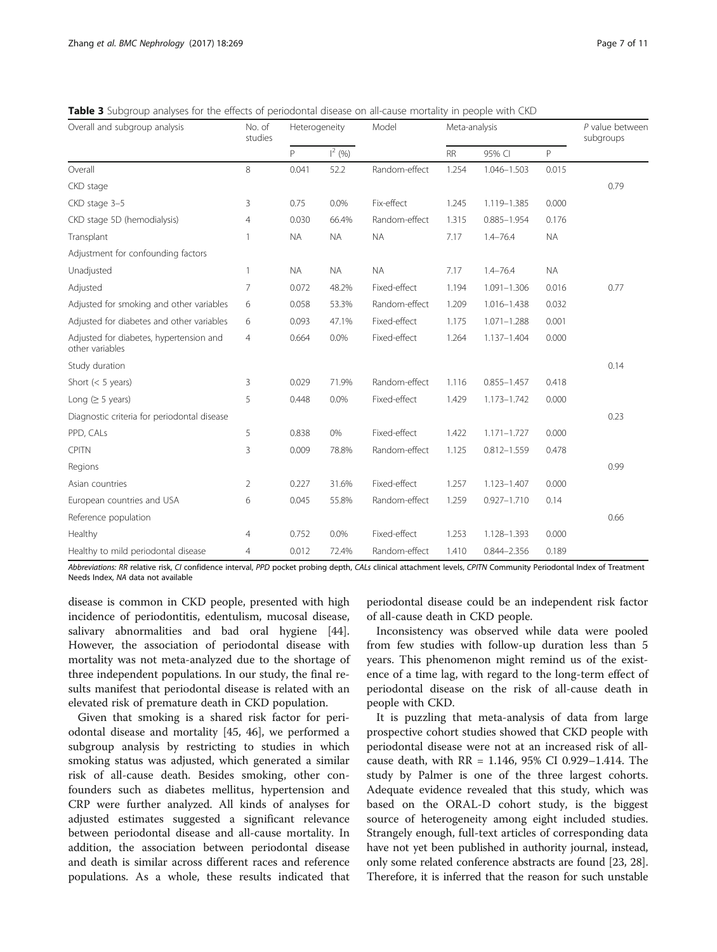<span id="page-6-0"></span>Table 3 Subgroup analyses for the effects of periodontal disease on all-cause mortality in people with CKD

| Overall and subgroup analysis                              | No. of<br>studies | Heterogeneity |           | Model         | Meta-analysis |                 |           | P value between<br>subgroups |
|------------------------------------------------------------|-------------------|---------------|-----------|---------------|---------------|-----------------|-----------|------------------------------|
|                                                            |                   | P             | $1^2$ (%) |               | <b>RR</b>     | 95% CI          | P         |                              |
| Overall                                                    | 8                 | 0.041         | 52.2      | Random-effect | 1.254         | 1.046-1.503     | 0.015     |                              |
| CKD stage                                                  |                   |               |           |               |               |                 |           | 0.79                         |
| CKD stage 3-5                                              | 3                 | 0.75          | 0.0%      | Fix-effect    | 1.245         | 1.119-1.385     | 0.000     |                              |
| CKD stage 5D (hemodialysis)                                | 4                 | 0.030         | 66.4%     | Random-effect | 1.315         | $0.885 - 1.954$ | 0.176     |                              |
| Transplant                                                 | 1                 | <b>NA</b>     | <b>NA</b> | <b>NA</b>     | 7.17          | $1.4 - 76.4$    | <b>NA</b> |                              |
| Adjustment for confounding factors                         |                   |               |           |               |               |                 |           |                              |
| Unadjusted                                                 | 1                 | <b>NA</b>     | <b>NA</b> | <b>NA</b>     | 7.17          | $1.4 - 76.4$    | <b>NA</b> |                              |
| Adjusted                                                   | 7                 | 0.072         | 48.2%     | Fixed-effect  | 1.194         | $1.091 - 1.306$ | 0.016     | 0.77                         |
| Adjusted for smoking and other variables                   | 6                 | 0.058         | 53.3%     | Random-effect | 1.209         | 1.016-1.438     | 0.032     |                              |
| Adjusted for diabetes and other variables                  | 6                 | 0.093         | 47.1%     | Fixed-effect  | 1.175         | $1.071 - 1.288$ | 0.001     |                              |
| Adjusted for diabetes, hypertension and<br>other variables | $\overline{4}$    | 0.664         | 0.0%      | Fixed-effect  | 1.264         | 1.137-1.404     | 0.000     |                              |
| Study duration                                             |                   |               |           |               |               |                 |           | 0.14                         |
| Short $(< 5$ years)                                        | 3                 | 0.029         | 71.9%     | Random-effect | 1.116         | $0.855 - 1.457$ | 0.418     |                              |
| Long ( $\geq$ 5 years)                                     | 5                 | 0.448         | 0.0%      | Fixed-effect  | 1.429         | 1.173-1.742     | 0.000     |                              |
| Diagnostic criteria for periodontal disease                |                   |               |           |               |               |                 |           | 0.23                         |
| PPD, CALs                                                  | 5                 | 0.838         | 0%        | Fixed-effect  | 1.422         | $1.171 - 1.727$ | 0.000     |                              |
| <b>CPITN</b>                                               | 3                 | 0.009         | 78.8%     | Random-effect | 1.125         | $0.812 - 1.559$ | 0.478     |                              |
| Regions                                                    |                   |               |           |               |               |                 |           | 0.99                         |
| Asian countries                                            | $\overline{2}$    | 0.227         | 31.6%     | Fixed-effect  | 1.257         | 1.123-1.407     | 0.000     |                              |
| European countries and USA                                 | 6                 | 0.045         | 55.8%     | Random-effect | 1.259         | $0.927 - 1.710$ | 0.14      |                              |
| Reference population                                       |                   |               |           |               |               |                 |           | 0.66                         |
| Healthy                                                    | $\overline{4}$    | 0.752         | 0.0%      | Fixed-effect  | 1.253         | 1.128-1.393     | 0.000     |                              |
| Healthy to mild periodontal disease                        | 4                 | 0.012         | 72.4%     | Random-effect | 1.410         | 0.844-2.356     | 0.189     |                              |

Abbreviations: RR relative risk, CI confidence interval, PPD pocket probing depth, CALs clinical attachment levels, CPITN Community Periodontal Index of Treatment Needs Index, NA data not available

disease is common in CKD people, presented with high incidence of periodontitis, edentulism, mucosal disease, salivary abnormalities and bad oral hygiene [\[44](#page-10-0)]. However, the association of periodontal disease with mortality was not meta-analyzed due to the shortage of three independent populations. In our study, the final results manifest that periodontal disease is related with an elevated risk of premature death in CKD population.

Given that smoking is a shared risk factor for periodontal disease and mortality [\[45](#page-10-0), [46](#page-10-0)], we performed a subgroup analysis by restricting to studies in which smoking status was adjusted, which generated a similar risk of all-cause death. Besides smoking, other confounders such as diabetes mellitus, hypertension and CRP were further analyzed. All kinds of analyses for adjusted estimates suggested a significant relevance between periodontal disease and all-cause mortality. In addition, the association between periodontal disease and death is similar across different races and reference populations. As a whole, these results indicated that

periodontal disease could be an independent risk factor of all-cause death in CKD people.

Inconsistency was observed while data were pooled from few studies with follow-up duration less than 5 years. This phenomenon might remind us of the existence of a time lag, with regard to the long-term effect of periodontal disease on the risk of all-cause death in people with CKD.

It is puzzling that meta-analysis of data from large prospective cohort studies showed that CKD people with periodontal disease were not at an increased risk of allcause death, with RR = 1.146, 95% CI 0.929–1.414. The study by Palmer is one of the three largest cohorts. Adequate evidence revealed that this study, which was based on the ORAL-D cohort study, is the biggest source of heterogeneity among eight included studies. Strangely enough, full-text articles of corresponding data have not yet been published in authority journal, instead, only some related conference abstracts are found [\[23, 28](#page-9-0)]. Therefore, it is inferred that the reason for such unstable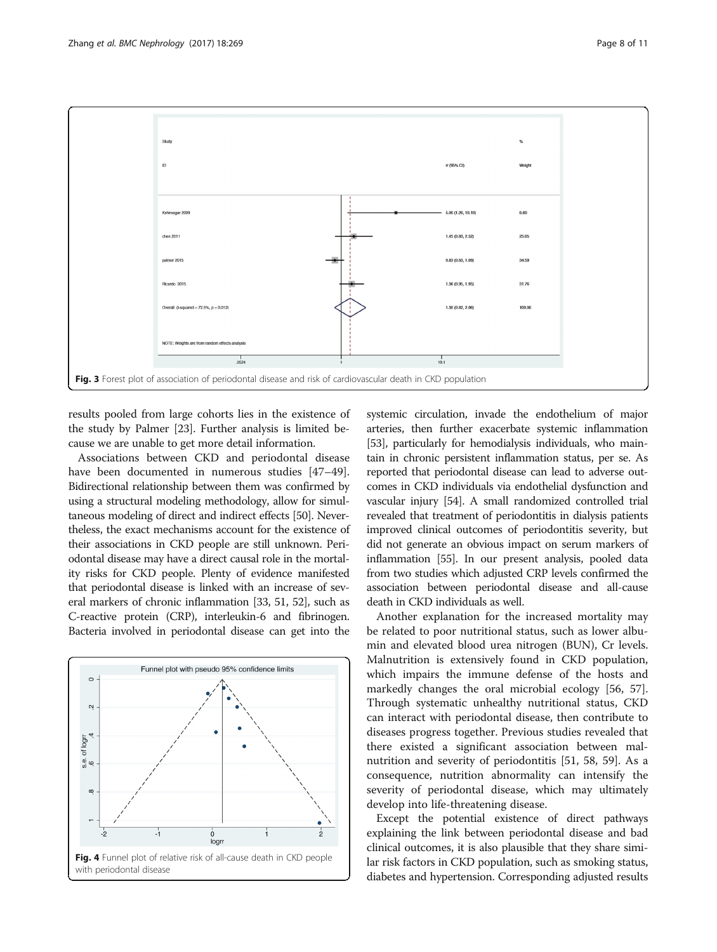<span id="page-7-0"></span>

results pooled from large cohorts lies in the existence of the study by Palmer [[23](#page-9-0)]. Further analysis is limited because we are unable to get more detail information.

Associations between CKD and periodontal disease have been documented in numerous studies [[47](#page-10-0)-[49](#page-10-0)]. Bidirectional relationship between them was confirmed by using a structural modeling methodology, allow for simultaneous modeling of direct and indirect effects [\[50\]](#page-10-0). Nevertheless, the exact mechanisms account for the existence of their associations in CKD people are still unknown. Periodontal disease may have a direct causal role in the mortality risks for CKD people. Plenty of evidence manifested that periodontal disease is linked with an increase of several markers of chronic inflammation [\[33,](#page-9-0) [51, 52\]](#page-10-0), such as C-reactive protein (CRP), interleukin-6 and fibrinogen. Bacteria involved in periodontal disease can get into the



systemic circulation, invade the endothelium of major arteries, then further exacerbate systemic inflammation [[53](#page-10-0)], particularly for hemodialysis individuals, who maintain in chronic persistent inflammation status, per se. As reported that periodontal disease can lead to adverse outcomes in CKD individuals via endothelial dysfunction and vascular injury [\[54\]](#page-10-0). A small randomized controlled trial revealed that treatment of periodontitis in dialysis patients improved clinical outcomes of periodontitis severity, but did not generate an obvious impact on serum markers of inflammation [\[55](#page-10-0)]. In our present analysis, pooled data from two studies which adjusted CRP levels confirmed the association between periodontal disease and all-cause death in CKD individuals as well.

Another explanation for the increased mortality may be related to poor nutritional status, such as lower albumin and elevated blood urea nitrogen (BUN), Cr levels. Malnutrition is extensively found in CKD population, which impairs the immune defense of the hosts and markedly changes the oral microbial ecology [\[56](#page-10-0), [57](#page-10-0)]. Through systematic unhealthy nutritional status, CKD can interact with periodontal disease, then contribute to diseases progress together. Previous studies revealed that there existed a significant association between malnutrition and severity of periodontitis [\[51, 58, 59](#page-10-0)]. As a consequence, nutrition abnormality can intensify the severity of periodontal disease, which may ultimately develop into life-threatening disease.

Except the potential existence of direct pathways explaining the link between periodontal disease and bad clinical outcomes, it is also plausible that they share similar risk factors in CKD population, such as smoking status, diabetes and hypertension. Corresponding adjusted results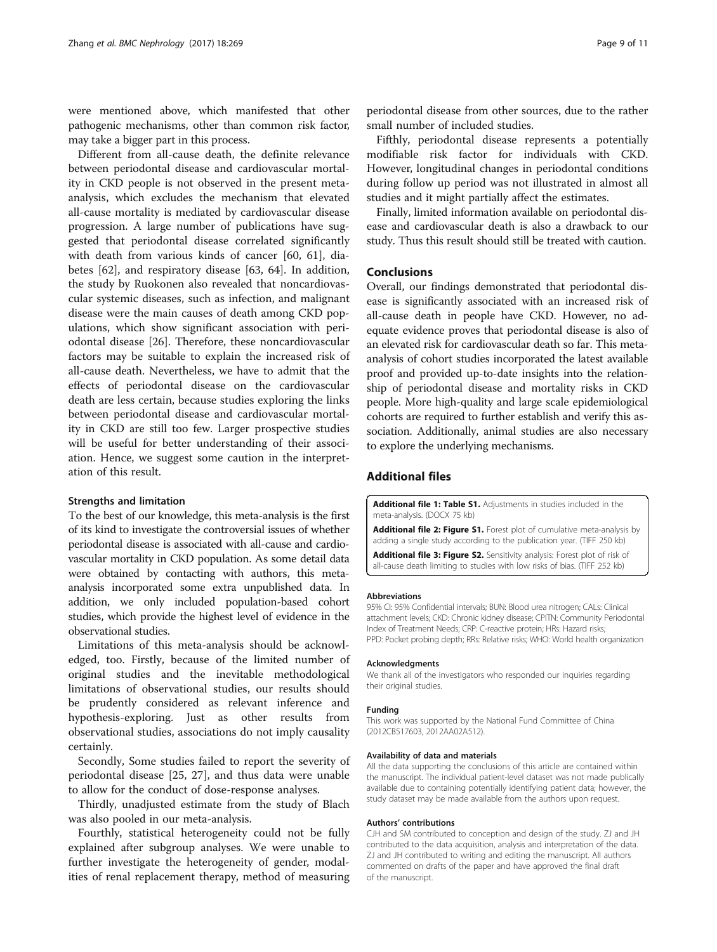<span id="page-8-0"></span>were mentioned above, which manifested that other pathogenic mechanisms, other than common risk factor, may take a bigger part in this process.

Different from all-cause death, the definite relevance between periodontal disease and cardiovascular mortality in CKD people is not observed in the present metaanalysis, which excludes the mechanism that elevated all-cause mortality is mediated by cardiovascular disease progression. A large number of publications have suggested that periodontal disease correlated significantly with death from various kinds of cancer [\[60](#page-10-0), [61\]](#page-10-0), diabetes [[62\]](#page-10-0), and respiratory disease [[63, 64\]](#page-10-0). In addition, the study by Ruokonen also revealed that noncardiovascular systemic diseases, such as infection, and malignant disease were the main causes of death among CKD populations, which show significant association with periodontal disease [[26](#page-9-0)]. Therefore, these noncardiovascular factors may be suitable to explain the increased risk of all-cause death. Nevertheless, we have to admit that the effects of periodontal disease on the cardiovascular death are less certain, because studies exploring the links between periodontal disease and cardiovascular mortality in CKD are still too few. Larger prospective studies will be useful for better understanding of their association. Hence, we suggest some caution in the interpretation of this result.

#### Strengths and limitation

To the best of our knowledge, this meta-analysis is the first of its kind to investigate the controversial issues of whether periodontal disease is associated with all-cause and cardiovascular mortality in CKD population. As some detail data were obtained by contacting with authors, this metaanalysis incorporated some extra unpublished data. In addition, we only included population-based cohort studies, which provide the highest level of evidence in the observational studies.

Limitations of this meta-analysis should be acknowledged, too. Firstly, because of the limited number of original studies and the inevitable methodological limitations of observational studies, our results should be prudently considered as relevant inference and hypothesis-exploring. Just as other results from observational studies, associations do not imply causality certainly.

Secondly, Some studies failed to report the severity of periodontal disease [\[25](#page-9-0), [27](#page-9-0)], and thus data were unable to allow for the conduct of dose-response analyses.

Thirdly, unadjusted estimate from the study of Blach was also pooled in our meta-analysis.

Fourthly, statistical heterogeneity could not be fully explained after subgroup analyses. We were unable to further investigate the heterogeneity of gender, modalities of renal replacement therapy, method of measuring

periodontal disease from other sources, due to the rather small number of included studies.

Fifthly, periodontal disease represents a potentially modifiable risk factor for individuals with CKD. However, longitudinal changes in periodontal conditions during follow up period was not illustrated in almost all studies and it might partially affect the estimates.

Finally, limited information available on periodontal disease and cardiovascular death is also a drawback to our study. Thus this result should still be treated with caution.

#### Conclusions

Overall, our findings demonstrated that periodontal disease is significantly associated with an increased risk of all-cause death in people have CKD. However, no adequate evidence proves that periodontal disease is also of an elevated risk for cardiovascular death so far. This metaanalysis of cohort studies incorporated the latest available proof and provided up-to-date insights into the relationship of periodontal disease and mortality risks in CKD people. More high-quality and large scale epidemiological cohorts are required to further establish and verify this association. Additionally, animal studies are also necessary to explore the underlying mechanisms.

## Additional files

[Additional file 1: Table S1.](dx.doi.org/10.1186/s12882-017-0680-9) Adjustments in studies included in the meta-analysis. (DOCX 75 kb)

[Additional file 2: Figure S1.](dx.doi.org/10.1186/s12882-017-0680-9) Forest plot of cumulative meta-analysis by adding a single study according to the publication year. (TIFF 250 kb)

[Additional file 3: Figure S2.](dx.doi.org/10.1186/s12882-017-0680-9) Sensitivity analysis: Forest plot of risk of all-cause death limiting to studies with low risks of bias. (TIFF 252 kb)

#### Abbreviations

95% CI: 95% Confidential intervals; BUN: Blood urea nitrogen; CALs: Clinical attachment levels; CKD: Chronic kidney disease; CPITN: Community Periodontal Index of Treatment Needs; CRP: C-reactive protein; HRs: Hazard risks; PPD: Pocket probing depth; RRs: Relative risks; WHO: World health organization

#### Acknowledgments

We thank all of the investigators who responded our inquiries regarding their original studies.

#### Funding

This work was supported by the National Fund Committee of China (2012CB517603, 2012AA02A512).

#### Availability of data and materials

All the data supporting the conclusions of this article are contained within the manuscript. The individual patient-level dataset was not made publically available due to containing potentially identifying patient data; however, the study dataset may be made available from the authors upon request.

#### Authors' contributions

CJH and SM contributed to conception and design of the study. ZJ and JH contributed to the data acquisition, analysis and interpretation of the data. ZJ and JH contributed to writing and editing the manuscript. All authors commented on drafts of the paper and have approved the final draft of the manuscript.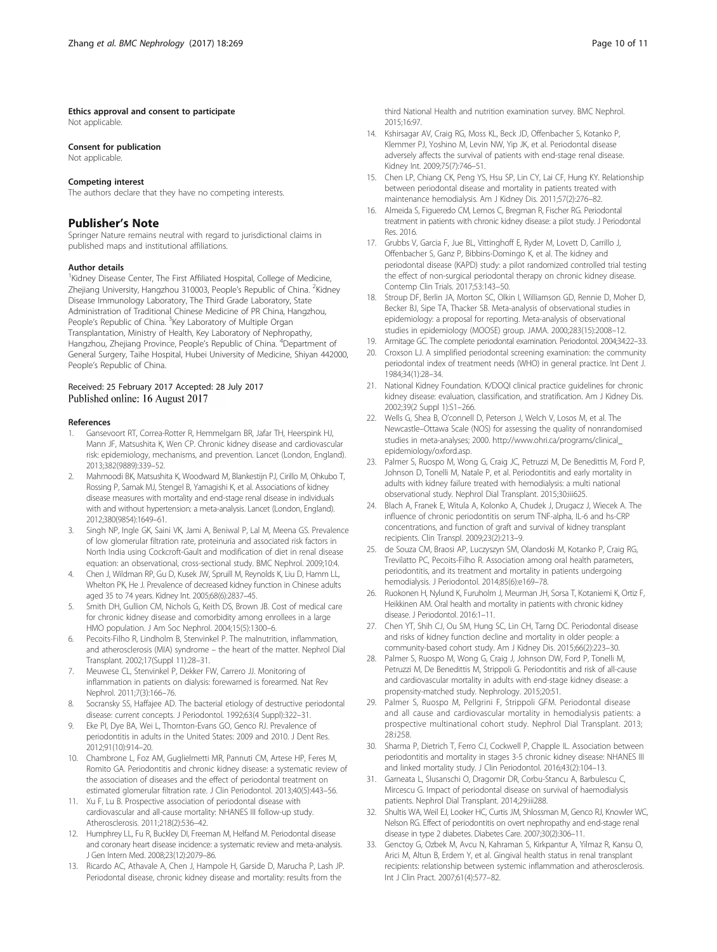## <span id="page-9-0"></span>Ethics approval and consent to participate

Not applicable.

#### Consent for publication

Not applicable.

#### Competing interest

The authors declare that they have no competing interests.

## Publisher's Note

Springer Nature remains neutral with regard to jurisdictional claims in published maps and institutional affiliations.

#### Author details

<sup>1</sup> Kidney Disease Center, The First Affiliated Hospital, College of Medicine, Zhejiang University, Hangzhou 310003, People's Republic of China. <sup>2</sup>Kidney Disease Immunology Laboratory, The Third Grade Laboratory, State Administration of Traditional Chinese Medicine of PR China, Hangzhou, People's Republic of China. <sup>3</sup>Key Laboratory of Multiple Organ Transplantation, Ministry of Health, Key Laboratory of Nephropathy, Hangzhou, Zhejiang Province, People's Republic of China. <sup>4</sup>Department of General Surgery, Taihe Hospital, Hubei University of Medicine, Shiyan 442000, People's Republic of China.

#### Received: 25 February 2017 Accepted: 28 July 2017 Published online: 16 August 2017

#### References

- 1. Gansevoort RT, Correa-Rotter R, Hemmelgarn BR, Jafar TH, Heerspink HJ, Mann JF, Matsushita K, Wen CP. Chronic kidney disease and cardiovascular risk: epidemiology, mechanisms, and prevention. Lancet (London, England). 2013;382(9889):339–52.
- 2. Mahmoodi BK, Matsushita K, Woodward M, Blankestijn PJ, Cirillo M, Ohkubo T, Rossing P, Sarnak MJ, Stengel B, Yamagishi K, et al. Associations of kidney disease measures with mortality and end-stage renal disease in individuals with and without hypertension: a meta-analysis. Lancet (London, England). 2012;380(9854):1649–61.
- 3. Singh NP, Ingle GK, Saini VK, Jami A, Beniwal P, Lal M, Meena GS. Prevalence of low glomerular filtration rate, proteinuria and associated risk factors in North India using Cockcroft-Gault and modification of diet in renal disease equation: an observational, cross-sectional study. BMC Nephrol. 2009;10:4.
- 4. Chen J, Wildman RP, Gu D, Kusek JW, Spruill M, Reynolds K, Liu D, Hamm LL, Whelton PK, He J. Prevalence of decreased kidney function in Chinese adults aged 35 to 74 years. Kidney Int. 2005;68(6):2837–45.
- 5. Smith DH, Gullion CM, Nichols G, Keith DS, Brown JB. Cost of medical care for chronic kidney disease and comorbidity among enrollees in a large HMO population. J Am Soc Nephrol. 2004;15(5):1300–6.
- 6. Pecoits-Filho R, Lindholm B, Stenvinkel P. The malnutrition, inflammation, and atherosclerosis (MIA) syndrome – the heart of the matter. Nephrol Dial Transplant. 2002;17(Suppl 11):28–31.
- 7. Meuwese CL, Stenvinkel P, Dekker FW, Carrero JJ. Monitoring of inflammation in patients on dialysis: forewarned is forearmed. Nat Rev Nephrol. 2011;7(3):166–76.
- Socransky SS, Haffajee AD. The bacterial etiology of destructive periodontal disease: current concepts. J Periodontol. 1992;63(4 Suppl):322–31.
- 9. Eke PI, Dye BA, Wei L, Thornton-Evans GO, Genco RJ. Prevalence of periodontitis in adults in the United States: 2009 and 2010. J Dent Res. 2012;91(10):914–20.
- 10. Chambrone L, Foz AM, Guglielmetti MR, Pannuti CM, Artese HP, Feres M, Romito GA. Periodontitis and chronic kidney disease: a systematic review of the association of diseases and the effect of periodontal treatment on estimated glomerular filtration rate. J Clin Periodontol. 2013;40(5):443–56.
- 11. Xu F, Lu B. Prospective association of periodontal disease with cardiovascular and all-cause mortality: NHANES III follow-up study. Atherosclerosis. 2011;218(2):536–42.
- 12. Humphrey LL, Fu R, Buckley DI, Freeman M, Helfand M. Periodontal disease and coronary heart disease incidence: a systematic review and meta-analysis. J Gen Intern Med. 2008;23(12):2079–86.
- 13. Ricardo AC, Athavale A, Chen J, Hampole H, Garside D, Marucha P, Lash JP. Periodontal disease, chronic kidney disease and mortality: results from the

third National Health and nutrition examination survey. BMC Nephrol. 2015;16:97.

- 14. Kshirsagar AV, Craig RG, Moss KL, Beck JD, Offenbacher S, Kotanko P, Klemmer PJ, Yoshino M, Levin NW, Yip JK, et al. Periodontal disease adversely affects the survival of patients with end-stage renal disease. Kidney Int. 2009;75(7):746–51.
- 15. Chen LP, Chiang CK, Peng YS, Hsu SP, Lin CY, Lai CF, Hung KY. Relationship between periodontal disease and mortality in patients treated with maintenance hemodialysis. Am J Kidney Dis. 2011;57(2):276–82.
- 16. Almeida S, Figueredo CM, Lemos C, Bregman R, Fischer RG. Periodontal treatment in patients with chronic kidney disease: a pilot study. J Periodontal Res. 2016.
- 17. Grubbs V, Garcia F, Jue BL, Vittinghoff E, Ryder M, Lovett D, Carrillo J, Offenbacher S, Ganz P, Bibbins-Domingo K, et al. The kidney and periodontal disease (KAPD) study: a pilot randomized controlled trial testing the effect of non-surgical periodontal therapy on chronic kidney disease. Contemp Clin Trials. 2017;53:143–50.
- 18. Stroup DF, Berlin JA, Morton SC, Olkin I, Williamson GD, Rennie D, Moher D, Becker BJ, Sipe TA, Thacker SB. Meta-analysis of observational studies in epidemiology: a proposal for reporting. Meta-analysis of observational studies in epidemiology (MOOSE) group. JAMA. 2000;283(15):2008–12.
- 19. Armitage GC. The complete periodontal examination. Periodontol. 2004;34:22–33.
- 20. Croxson LJ. A simplified periodontal screening examination: the community periodontal index of treatment needs (WHO) in general practice. Int Dent J. 1984;34(1):28–34.
- 21. National Kidney Foundation. K/DOQI clinical practice guidelines for chronic kidney disease: evaluation, classification, and stratification. Am J Kidney Dis. 2002;39(2 Suppl 1):S1–266.
- 22. Wells G, Shea B, O'connell D, Peterson J, Welch V, Losos M, et al. The Newcastle–Ottawa Scale (NOS) for assessing the quality of nonrandomised studies in meta-analyses; 2000. [http://www.ohri.ca/programs/clinical\\_](http://www.ohri.ca/programs/clinical_epidemiology/oxford.asp) [epidemiology/oxford.asp.](http://www.ohri.ca/programs/clinical_epidemiology/oxford.asp)
- 23. Palmer S, Ruospo M, Wong G, Craig JC, Petruzzi M, De Benedittis M, Ford P, Johnson D, Tonelli M, Natale P, et al. Periodontitis and early mortality in adults with kidney failure treated with hemodialysis: a multi national observational study. Nephrol Dial Transplant. 2015;30:iii625.
- 24. Blach A, Franek E, Witula A, Kolonko A, Chudek J, Drugacz J, Wiecek A. The influence of chronic periodontitis on serum TNF-alpha, IL-6 and hs-CRP concentrations, and function of graft and survival of kidney transplant recipients. Clin Transpl. 2009;23(2):213–9.
- 25. de Souza CM, Braosi AP, Luczyszyn SM, Olandoski M, Kotanko P, Craig RG, Trevilatto PC, Pecoits-Filho R. Association among oral health parameters, periodontitis, and its treatment and mortality in patients undergoing hemodialysis. J Periodontol. 2014;85(6):e169–78.
- 26. Ruokonen H, Nylund K, Furuholm J, Meurman JH, Sorsa T, Kotaniemi K, Ortiz F, Heikkinen AM. Oral health and mortality in patients with chronic kidney disease. J Periodontol. 2016:1–11.
- 27. Chen YT, Shih CJ, Ou SM, Hung SC, Lin CH, Tarng DC. Periodontal disease and risks of kidney function decline and mortality in older people: a community-based cohort study. Am J Kidney Dis. 2015;66(2):223–30.
- 28. Palmer S, Ruospo M, Wong G, Craig J, Johnson DW, Ford P, Tonelli M, Petruzzi M, De Benedittis M, Strippoli G. Periodontitis and risk of all-cause and cardiovascular mortality in adults with end-stage kidney disease: a propensity-matched study. Nephrology. 2015;20:51.
- 29. Palmer S, Ruospo M, Pellgrini F, Strippoli GFM. Periodontal disease and all cause and cardiovascular mortality in hemodialysis patients: a prospective multinational cohort study. Nephrol Dial Transplant. 2013; 28:i258.
- 30. Sharma P, Dietrich T, Ferro CJ, Cockwell P, Chapple IL. Association between periodontitis and mortality in stages 3-5 chronic kidney disease: NHANES III and linked mortality study. J Clin Periodontol. 2016;43(2):104–13.
- 31. Garneata L, Slusanschi O, Dragomir DR, Corbu-Stancu A, Barbulescu C, Mircescu G. Impact of periodontal disease on survival of haemodialysis patients. Nephrol Dial Transplant. 2014;29:iii288.
- Shultis WA, Weil EJ, Looker HC, Curtis JM, Shlossman M, Genco RJ, Knowler WC, Nelson RG. Effect of periodontitis on overt nephropathy and end-stage renal disease in type 2 diabetes. Diabetes Care. 2007;30(2):306–11.
- 33. Genctoy G, Ozbek M, Avcu N, Kahraman S, Kirkpantur A, Yilmaz R, Kansu O, Arici M, Altun B, Erdem Y, et al. Gingival health status in renal transplant recipients: relationship between systemic inflammation and atherosclerosis. Int J Clin Pract. 2007;61(4):577–82.